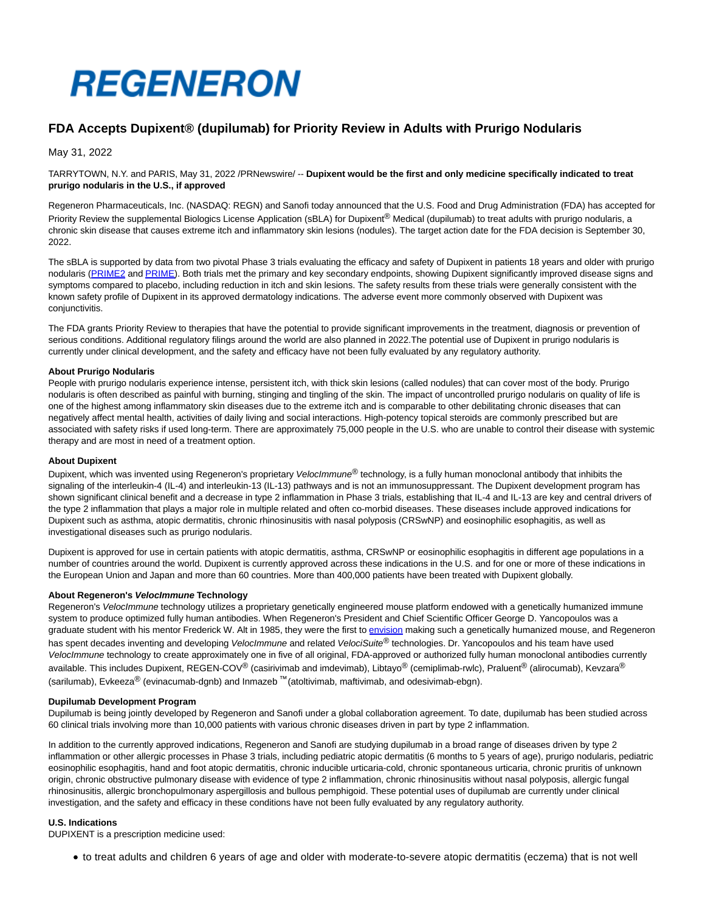# **REGENERON**

## **FDA Accepts Dupixent® (dupilumab) for Priority Review in Adults with Prurigo Nodularis**

May 31, 2022

TARRYTOWN, N.Y. and PARIS, May 31, 2022 /PRNewswire/ -- **Dupixent would be the first and only medicine specifically indicated to treat prurigo nodularis in the U.S., if approved**

Regeneron Pharmaceuticals, Inc. (NASDAQ: REGN) and Sanofi today announced that the U.S. Food and Drug Administration (FDA) has accepted for Priority Review the supplemental Biologics License Application (sBLA) for Dupixent<sup>®</sup> Medical (dupilumab) to treat adults with prurigo nodularis, a chronic skin disease that causes extreme itch and inflammatory skin lesions (nodules). The target action date for the FDA decision is September 30, 2022.

The sBLA is supported by data from two pivotal Phase 3 trials evaluating the efficacy and safety of Dupixent in patients 18 years and older with prurigo nodularis [\(PRIME2 a](https://c212.net/c/link/?t=0&l=en&o=3551030-1&h=4052433199&u=https%3A%2F%2Finvestor.regeneron.com%2Fnews-releases%2Fnews-release-details%2Flate-breaking-phase-3-data-aad-2022-show-dupixentr-dupilumab&a=PRIME2)n[d PRIME\).](https://c212.net/c/link/?t=0&l=en&o=3551030-1&h=709592581&u=https%3A%2F%2Finvestor.regeneron.com%2Fnews-releases%2Fnews-release-details%2Fsecond-positive-phase-3-dupixentr-dupilumab-trial-confirms&a=PRIME) Both trials met the primary and key secondary endpoints, showing Dupixent significantly improved disease signs and symptoms compared to placebo, including reduction in itch and skin lesions. The safety results from these trials were generally consistent with the known safety profile of Dupixent in its approved dermatology indications. The adverse event more commonly observed with Dupixent was conjunctivitis.

The FDA grants Priority Review to therapies that have the potential to provide significant improvements in the treatment, diagnosis or prevention of serious conditions. Additional regulatory filings around the world are also planned in 2022. The potential use of Dupixent in prurigo nodularis is currently under clinical development, and the safety and efficacy have not been fully evaluated by any regulatory authority.

## **About Prurigo Nodularis**

People with prurigo nodularis experience intense, persistent itch, with thick skin lesions (called nodules) that can cover most of the body. Prurigo nodularis is often described as painful with burning, stinging and tingling of the skin. The impact of uncontrolled prurigo nodularis on quality of life is one of the highest among inflammatory skin diseases due to the extreme itch and is comparable to other debilitating chronic diseases that can negatively affect mental health, activities of daily living and social interactions. High-potency topical steroids are commonly prescribed but are associated with safety risks if used long-term. There are approximately 75,000 people in the U.S. who are unable to control their disease with systemic therapy and are most in need of a treatment option.

## **About Dupixent**

Dupixent, which was invented using Regeneron's proprietary Veloclmmune<sup>®</sup> technology, is a fully human monoclonal antibody that inhibits the signaling of the interleukin-4 (IL-4) and interleukin-13 (IL-13) pathways and is not an immunosuppressant. The Dupixent development program has shown significant clinical benefit and a decrease in type 2 inflammation in Phase 3 trials, establishing that IL-4 and IL-13 are key and central drivers of the type 2 inflammation that plays a major role in multiple related and often co-morbid diseases. These diseases include approved indications for Dupixent such as asthma, atopic dermatitis, chronic rhinosinusitis with nasal polyposis (CRSwNP) and eosinophilic esophagitis, as well as investigational diseases such as prurigo nodularis.

Dupixent is approved for use in certain patients with atopic dermatitis, asthma, CRSwNP or eosinophilic esophagitis in different age populations in a number of countries around the world. Dupixent is currently approved across these indications in the U.S. and for one or more of these indications in the European Union and Japan and more than 60 countries. More than 400,000 patients have been treated with Dupixent globally.

## **About Regeneron's VelocImmune Technology**

Regeneron's VelocImmune technology utilizes a proprietary genetically engineered mouse platform endowed with a genetically humanized immune system to produce optimized fully human antibodies. When Regeneron's President and Chief Scientific Officer George D. Yancopoulos was a graduate student with his mentor Frederick W. Alt in 1985, they were the first to [envision m](https://c212.net/c/link/?t=0&l=en&o=3551030-1&h=2034696394&u=https%3A%2F%2Fwww.sciencedirect.com%2Fscience%2Farticle%2Fabs%2Fpii%2F0168952585900897&a=envision)aking such a genetically humanized mouse, and Regeneron has spent decades inventing and developing VelocImmune and related VelociSuite® technologies. Dr. Yancopoulos and his team have used VelocImmune technology to create approximately one in five of all original, FDA-approved or authorized fully human monoclonal antibodies currently available. This includes Dupixent, REGEN-COV® (casirivimab and imdevimab), Libtayo® (cemiplimab-rwlc), Praluent® (alirocumab), Kevzara® (sarilumab), Evkeeza® (evinacumab-dgnb) and Inmazeb ™ (atoltivimab, maftivimab, and odesivimab-ebgn).

#### **Dupilumab Development Program**

Dupilumab is being jointly developed by Regeneron and Sanofi under a global collaboration agreement. To date, dupilumab has been studied across 60 clinical trials involving more than 10,000 patients with various chronic diseases driven in part by type 2 inflammation.

In addition to the currently approved indications, Regeneron and Sanofi are studying dupilumab in a broad range of diseases driven by type 2 inflammation or other allergic processes in Phase 3 trials, including pediatric atopic dermatitis (6 months to 5 years of age), prurigo nodularis, pediatric eosinophilic esophagitis, hand and foot atopic dermatitis, chronic inducible urticaria-cold, chronic spontaneous urticaria, chronic pruritis of unknown origin, chronic obstructive pulmonary disease with evidence of type 2 inflammation, chronic rhinosinusitis without nasal polyposis, allergic fungal rhinosinusitis, allergic bronchopulmonary aspergillosis and bullous pemphigoid. These potential uses of dupilumab are currently under clinical investigation, and the safety and efficacy in these conditions have not been fully evaluated by any regulatory authority.

## **U.S. Indications**

DUPIXENT is a prescription medicine used:

to treat adults and children 6 years of age and older with moderate-to-severe atopic dermatitis (eczema) that is not well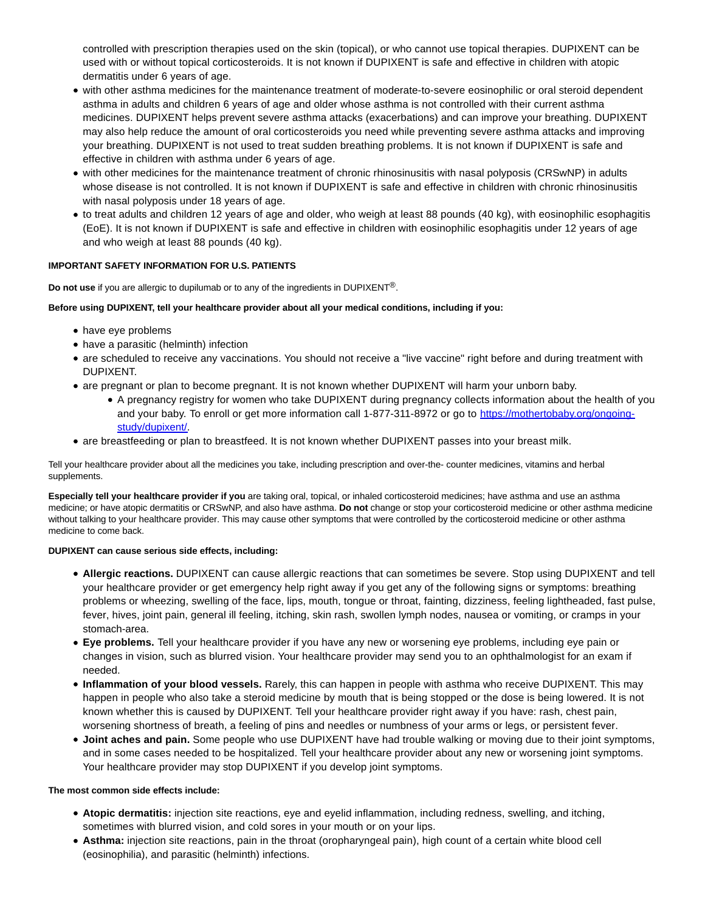controlled with prescription therapies used on the skin (topical), or who cannot use topical therapies. DUPIXENT can be used with or without topical corticosteroids. It is not known if DUPIXENT is safe and effective in children with atopic dermatitis under 6 years of age.

- with other asthma medicines for the maintenance treatment of moderate-to-severe eosinophilic or oral steroid dependent asthma in adults and children 6 years of age and older whose asthma is not controlled with their current asthma medicines. DUPIXENT helps prevent severe asthma attacks (exacerbations) and can improve your breathing. DUPIXENT may also help reduce the amount of oral corticosteroids you need while preventing severe asthma attacks and improving your breathing. DUPIXENT is not used to treat sudden breathing problems. It is not known if DUPIXENT is safe and effective in children with asthma under 6 years of age.
- with other medicines for the maintenance treatment of chronic rhinosinusitis with nasal polyposis (CRSwNP) in adults whose disease is not controlled. It is not known if DUPIXENT is safe and effective in children with chronic rhinosinusitis with nasal polyposis under 18 years of age.
- to treat adults and children 12 years of age and older, who weigh at least 88 pounds (40 kg), with eosinophilic esophagitis (EoE). It is not known if DUPIXENT is safe and effective in children with eosinophilic esophagitis under 12 years of age and who weigh at least 88 pounds (40 kg).

## **IMPORTANT SAFETY INFORMATION FOR U.S. PATIENTS**

**Do not use** if you are allergic to dupilumab or to any of the ingredients in DUPIXENT®.

## **Before using DUPIXENT, tell your healthcare provider about all your medical conditions, including if you:**

- have eye problems
- have a parasitic (helminth) infection
- are scheduled to receive any vaccinations. You should not receive a "live vaccine" right before and during treatment with DUPIXENT.
- are pregnant or plan to become pregnant. It is not known whether DUPIXENT will harm your unborn baby.
	- A pregnancy registry for women who take DUPIXENT during pregnancy collects information about the health of you and your baby. To enroll or get more information call 1-877-311-8972 or go to [https://mothertobaby.org/ongoing](https://mothertobaby.org/ongoing-study/dupixent/)study/dupixent/.
- are breastfeeding or plan to breastfeed. It is not known whether DUPIXENT passes into your breast milk.

Tell your healthcare provider about all the medicines you take, including prescription and over-the- counter medicines, vitamins and herbal supplements.

**Especially tell your healthcare provider if you** are taking oral, topical, or inhaled corticosteroid medicines; have asthma and use an asthma medicine; or have atopic dermatitis or CRSwNP, and also have asthma. **Do not** change or stop your corticosteroid medicine or other asthma medicine without talking to your healthcare provider. This may cause other symptoms that were controlled by the corticosteroid medicine or other asthma medicine to come back.

## **DUPIXENT can cause serious side effects, including:**

- **Allergic reactions.** DUPIXENT can cause allergic reactions that can sometimes be severe. Stop using DUPIXENT and tell your healthcare provider or get emergency help right away if you get any of the following signs or symptoms: breathing problems or wheezing, swelling of the face, lips, mouth, tongue or throat, fainting, dizziness, feeling lightheaded, fast pulse, fever, hives, joint pain, general ill feeling, itching, skin rash, swollen lymph nodes, nausea or vomiting, or cramps in your stomach-area.
- **Eye problems.** Tell your healthcare provider if you have any new or worsening eye problems, including eye pain or changes in vision, such as blurred vision. Your healthcare provider may send you to an ophthalmologist for an exam if needed.
- **Inflammation of your blood vessels.** Rarely, this can happen in people with asthma who receive DUPIXENT. This may happen in people who also take a steroid medicine by mouth that is being stopped or the dose is being lowered. It is not known whether this is caused by DUPIXENT. Tell your healthcare provider right away if you have: rash, chest pain, worsening shortness of breath, a feeling of pins and needles or numbness of your arms or legs, or persistent fever.
- **Joint aches and pain.** Some people who use DUPIXENT have had trouble walking or moving due to their joint symptoms, and in some cases needed to be hospitalized. Tell your healthcare provider about any new or worsening joint symptoms. Your healthcare provider may stop DUPIXENT if you develop joint symptoms.

## **The most common side effects include:**

- **Atopic dermatitis:** injection site reactions, eye and eyelid inflammation, including redness, swelling, and itching, sometimes with blurred vision, and cold sores in your mouth or on your lips.
- **Asthma:** injection site reactions, pain in the throat (oropharyngeal pain), high count of a certain white blood cell (eosinophilia), and parasitic (helminth) infections.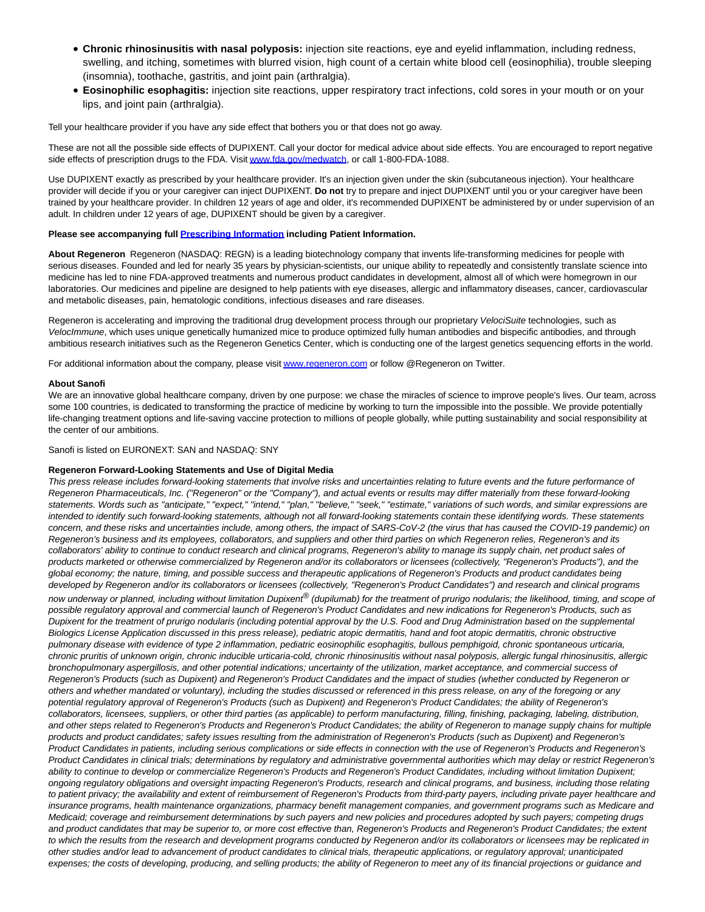- **Chronic rhinosinusitis with nasal polyposis:** injection site reactions, eye and eyelid inflammation, including redness, swelling, and itching, sometimes with blurred vision, high count of a certain white blood cell (eosinophilia), trouble sleeping (insomnia), toothache, gastritis, and joint pain (arthralgia).
- **Eosinophilic esophagitis:** injection site reactions, upper respiratory tract infections, cold sores in your mouth or on your lips, and joint pain (arthralgia).

Tell your healthcare provider if you have any side effect that bothers you or that does not go away.

These are not all the possible side effects of DUPIXENT. Call your doctor for medical advice about side effects. You are encouraged to report negative side effects of prescription drugs to the FDA. Visi[t www.fda.gov/medwatch,](http://www.fda.gov/medwatch) or call 1-800-FDA-1088.

Use DUPIXENT exactly as prescribed by your healthcare provider. It's an injection given under the skin (subcutaneous injection). Your healthcare provider will decide if you or your caregiver can inject DUPIXENT. **Do not** try to prepare and inject DUPIXENT until you or your caregiver have been trained by your healthcare provider. In children 12 years of age and older, it's recommended DUPIXENT be administered by or under supervision of an adult. In children under 12 years of age, DUPIXENT should be given by a caregiver.

### **Please see accompanying full [Prescribing Information](https://c212.net/c/link/?t=0&l=en&o=3551030-1&h=1546656755&u=https%3A%2F%2Fwww.regeneron.com%2Fsites%2Fdefault%2Ffiles%2FDupixent_FPI.pdf&a=Prescribing%C2%A0Information) including Patient Information.**

**About Regeneron** Regeneron (NASDAQ: REGN) is a leading biotechnology company that invents life-transforming medicines for people with serious diseases. Founded and led for nearly 35 years by physician-scientists, our unique ability to repeatedly and consistently translate science into medicine has led to nine FDA-approved treatments and numerous product candidates in development, almost all of which were homegrown in our laboratories. Our medicines and pipeline are designed to help patients with eye diseases, allergic and inflammatory diseases, cancer, cardiovascular and metabolic diseases, pain, hematologic conditions, infectious diseases and rare diseases.

Regeneron is accelerating and improving the traditional drug development process through our proprietary VelociSuite technologies, such as Veloclmmune, which uses unique genetically humanized mice to produce optimized fully human antibodies and bispecific antibodies, and through ambitious research initiatives such as the Regeneron Genetics Center, which is conducting one of the largest genetics sequencing efforts in the world.

For additional information about the company, please visi[t www.regeneron.com o](https://c212.net/c/link/?t=0&l=en&o=3551030-1&h=3379645115&u=http%3A%2F%2Fwww.regeneron.com%2F&a=www.regeneron.com)r follow @Regeneron on Twitter.

#### **About Sanofi**

We are an innovative global healthcare company, driven by one purpose: we chase the miracles of science to improve people's lives. Our team, across some 100 countries, is dedicated to transforming the practice of medicine by working to turn the impossible into the possible. We provide potentially life-changing treatment options and life-saving vaccine protection to millions of people globally, while putting sustainability and social responsibility at the center of our ambitions.

Sanofi is listed on EURONEXT: SAN and NASDAQ: SNY

#### **Regeneron Forward-Looking Statements and Use of Digital Media**

This press release includes forward-looking statements that involve risks and uncertainties relating to future events and the future performance of Regeneron Pharmaceuticals, Inc. ("Regeneron" or the "Company"), and actual events or results may differ materially from these forward-looking statements. Words such as "anticipate," "expect," "intend," "plan," "believe," "seek," "estimate," variations of such words, and similar expressions are intended to identify such forward-looking statements, although not all forward-looking statements contain these identifying words. These statements concern, and these risks and uncertainties include, among others, the impact of SARS-CoV-2 (the virus that has caused the COVID-19 pandemic) on Regeneron's business and its employees, collaborators, and suppliers and other third parties on which Regeneron relies, Regeneron's and its collaborators' ability to continue to conduct research and clinical programs, Regeneron's ability to manage its supply chain, net product sales of products marketed or otherwise commercialized by Regeneron and/or its collaborators or licensees (collectively, "Regeneron's Products"), and the global economy; the nature, timing, and possible success and therapeutic applications of Regeneron's Products and product candidates being developed by Regeneron and/or its collaborators or licensees (collectively, "Regeneron's Product Candidates") and research and clinical programs now underway or planned, including without limitation Dupixent® (dupilumab) for the treatment of prurigo nodularis; the likelihood, timing, and scope of possible regulatory approval and commercial launch of Regeneron's Product Candidates and new indications for Regeneron's Products, such as Dupixent for the treatment of prurigo nodularis (including potential approval by the U.S. Food and Drug Administration based on the supplemental Biologics License Application discussed in this press release), pediatric atopic dermatitis, hand and foot atopic dermatitis, chronic obstructive pulmonary disease with evidence of type 2 inflammation, pediatric eosinophilic esophagitis, bullous pemphigoid, chronic spontaneous urticaria, chronic pruritis of unknown origin, chronic inducible urticaria-cold, chronic rhinosinusitis without nasal polyposis, allergic fungal rhinosinusitis, allergic bronchopulmonary aspergillosis, and other potential indications; uncertainty of the utilization, market acceptance, and commercial success of Regeneron's Products (such as Dupixent) and Regeneron's Product Candidates and the impact of studies (whether conducted by Regeneron or others and whether mandated or voluntary), including the studies discussed or referenced in this press release, on any of the foregoing or any potential regulatory approval of Regeneron's Products (such as Dupixent) and Regeneron's Product Candidates; the ability of Regeneron's collaborators, licensees, suppliers, or other third parties (as applicable) to perform manufacturing, filling, finishing, packaging, labeling, distribution, and other steps related to Regeneron's Products and Regeneron's Product Candidates; the ability of Regeneron to manage supply chains for multiple products and product candidates; safety issues resulting from the administration of Regeneron's Products (such as Dupixent) and Regeneron's Product Candidates in patients, including serious complications or side effects in connection with the use of Regeneron's Products and Regeneron's Product Candidates in clinical trials; determinations by regulatory and administrative governmental authorities which may delay or restrict Regeneron's ability to continue to develop or commercialize Regeneron's Products and Regeneron's Product Candidates, including without limitation Dupixent; ongoing regulatory obligations and oversight impacting Regeneron's Products, research and clinical programs, and business, including those relating to patient privacy; the availability and extent of reimbursement of Regeneron's Products from third-party payers, including private payer healthcare and insurance programs, health maintenance organizations, pharmacy benefit management companies, and government programs such as Medicare and Medicaid; coverage and reimbursement determinations by such payers and new policies and procedures adopted by such payers; competing drugs and product candidates that may be superior to, or more cost effective than, Regeneron's Products and Regeneron's Product Candidates; the extent to which the results from the research and development programs conducted by Regeneron and/or its collaborators or licensees may be replicated in other studies and/or lead to advancement of product candidates to clinical trials, therapeutic applications, or regulatory approval; unanticipated expenses; the costs of developing, producing, and selling products; the ability of Regeneron to meet any of its financial projections or guidance and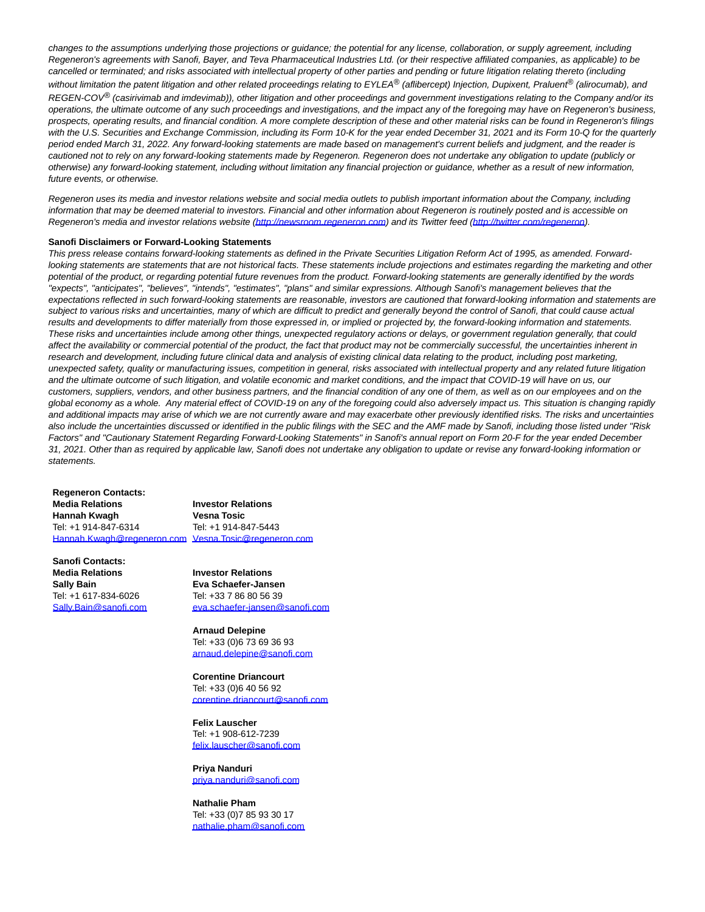changes to the assumptions underlying those projections or guidance; the potential for any license, collaboration, or supply agreement, including Regeneron's agreements with Sanofi, Bayer, and Teva Pharmaceutical Industries Ltd. (or their respective affiliated companies, as applicable) to be cancelled or terminated; and risks associated with intellectual property of other parties and pending or future litigation relating thereto (including without limitation the patent litigation and other related proceedings relating to EYLEA<sup>®</sup> (aflibercept) Injection, Dupixent, Praluent<sup>®</sup> (alirocumab), and  $R$ EGEN-COV<sup>®</sup> (casirivimab and imdevimab)), other litigation and other proceedings and government investigations relating to the Company and/or its operations, the ultimate outcome of any such proceedings and investigations, and the impact any of the foregoing may have on Regeneron's business, prospects, operating results, and financial condition. A more complete description of these and other material risks can be found in Regeneron's filings with the U.S. Securities and Exchange Commission, including its Form 10-K for the year ended December 31, 2021 and its Form 10-Q for the quarterly period ended March 31, 2022. Any forward-looking statements are made based on management's current beliefs and judgment, and the reader is cautioned not to rely on any forward-looking statements made by Regeneron. Regeneron does not undertake any obligation to update (publicly or otherwise) any forward-looking statement, including without limitation any financial projection or guidance, whether as a result of new information, future events, or otherwise.

Regeneron uses its media and investor relations website and social media outlets to publish important information about the Company, including information that may be deemed material to investors. Financial and other information about Regeneron is routinely posted and is accessible on Regeneron's media and investor relations website [\(http://newsroom.regeneron.com\)](http://newsroom.regeneron.com/) and its Twitter feed [\(http://twitter.com/regeneron\).](http://twitter.com/regeneron)

### **Sanofi Disclaimers or Forward-Looking Statements**

This press release contains forward-looking statements as defined in the Private Securities Litigation Reform Act of 1995, as amended. Forwardlooking statements are statements that are not historical facts. These statements include projections and estimates regarding the marketing and other potential of the product, or regarding potential future revenues from the product. Forward-looking statements are generally identified by the words "expects", "anticipates", "believes", "intends", "estimates", "plans" and similar expressions. Although Sanofi's management believes that the expectations reflected in such forward-looking statements are reasonable, investors are cautioned that forward-looking information and statements are subject to various risks and uncertainties, many of which are difficult to predict and generally beyond the control of Sanofi, that could cause actual results and developments to differ materially from those expressed in, or implied or projected by, the forward-looking information and statements. These risks and uncertainties include among other things, unexpected regulatory actions or delays, or government regulation generally, that could affect the availability or commercial potential of the product, the fact that product may not be commercially successful, the uncertainties inherent in research and development, including future clinical data and analysis of existing clinical data relating to the product, including post marketing, unexpected safety, quality or manufacturing issues, competition in general, risks associated with intellectual property and any related future litigation and the ultimate outcome of such litigation, and volatile economic and market conditions, and the impact that COVID-19 will have on us, our customers, suppliers, vendors, and other business partners, and the financial condition of any one of them, as well as on our employees and on the global economy as a whole. Any material effect of COVID-19 on any of the foregoing could also adversely impact us. This situation is changing rapidly and additional impacts may arise of which we are not currently aware and may exacerbate other previously identified risks. The risks and uncertainties also include the uncertainties discussed or identified in the public filings with the SEC and the AMF made by Sanofi, including those listed under "Risk Factors" and "Cautionary Statement Regarding Forward-Looking Statements" in Sanofi's annual report on Form 20-F for the year ended December 31, 2021. Other than as required by applicable law, Sanofi does not undertake any obligation to update or revise any forward-looking information or statements.

**Regeneron Contacts: Media Relations Hannah Kwagh** Tel: +1 914-847-6314 [Hannah.Kwagh@regeneron.com](mailto:Hannah.Kwagh@regeneron.com) [Vesna.Tosic@regeneron.com](mailto:Vesna.Tosic@regeneron.com) **Investor Relations Vesna Tosic**

**Sanofi Contacts: Media Relations Sally Bain** Tel: +1 617-834-6026 [Sally.Bain@sanofi.com](mailto:Sally.Bain@sanofi.com) Tel: +1 914-847-5443

**Investor Relations Eva Schaefer-Jansen** Tel: +33 7 86 80 56 39 [eva.schaefer-jansen@sanofi.com](mailto:eva.schaefer-jansen@sanofi.com)

**Arnaud Delepine** Tel: +33 (0)6 73 69 36 93 [arnaud.delepine@sanofi.com](mailto:arnaud.delepine@sanofi.com)

**Corentine Driancourt** Tel: +33 (0)6 40 56 92 [corentine.driancourt@sanofi.com](mailto:corentine.driancourt@sanofi.com)

**Felix Lauscher** Tel: +1 908-612-7239 [felix.lauscher@sanofi.com](mailto:felix.lauscher@sanofi.com)

**Priya Nanduri** [priya.nanduri@sanofi.com](mailto:priya.nanduri@sanofi.com)

**Nathalie Pham**

Tel: +33 (0)7 85 93 30 17 [nathalie.pham@sanofi.com](mailto:nathalie.pham@sanofi.com)